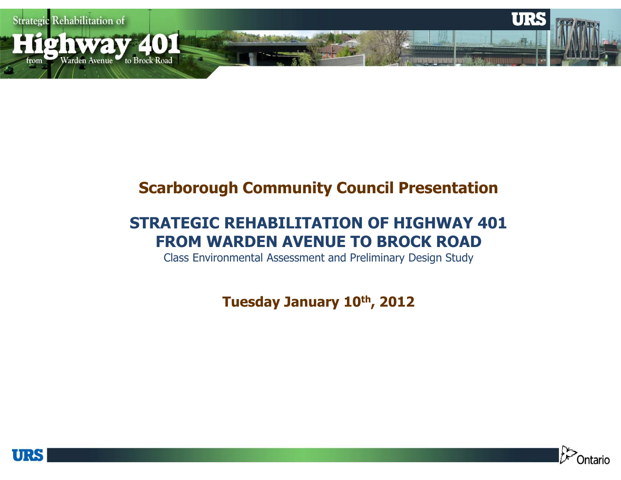

### Scarborough Community Council Presentation

### STRATEGIC REHABILITATION OF HIGHWAY 401FROM WARDEN AVENUE TO BROCK ROAD

Class Environmental Assessment and Preliminary Design Study

Tuesday January 10th, 2012



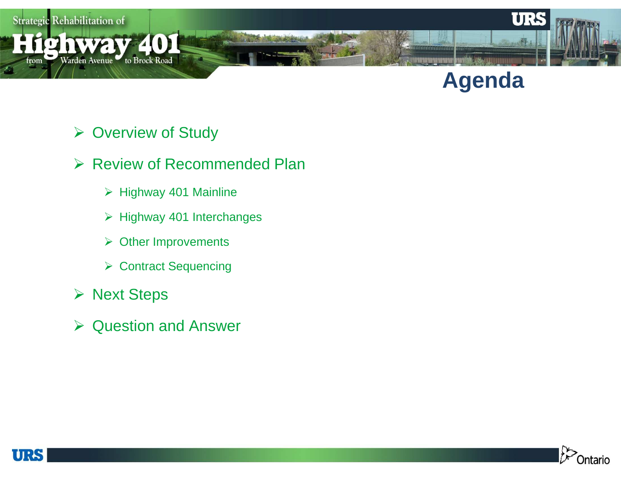

# **Agenda**

- Overview of Study
- **► Review of Recommended Plan** 
	- Highway 401 Mainline
	- > Highway 401 Interchanges
	- **≻** Other Improvements
	- Contract Sequencing
- **≻ Next Steps**
- **▶ Question and Answer**



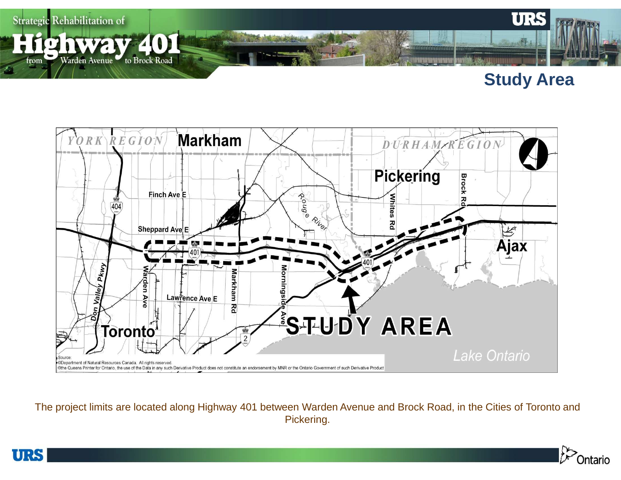

### **Study Area**



The project limits are located along Highway 401 between Warden Avenue and Brock Road, in the Cities of Toronto and Pickering.



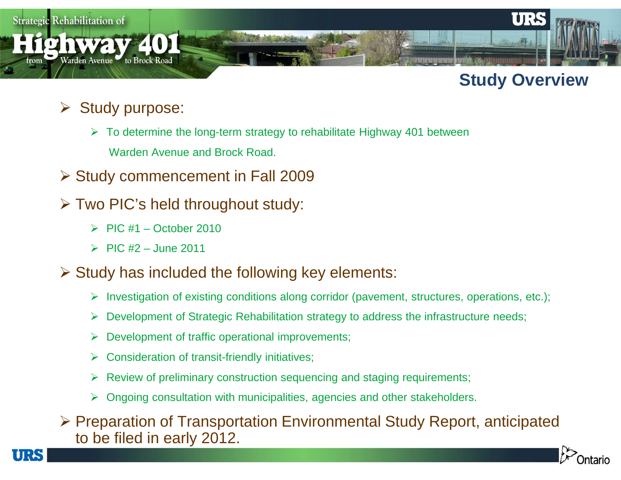

## **Study Overview**

# **► Study purpose:**

- To determine the long-term strategy to rehabilitate Highway 401 between Warden Avenue and Brock Road.
- Study commencement in Fall 2009
- Two PIC's held throughout study:
	- $\triangleright$  PIC #1 October 2010
	- $\triangleright$  PIC #2 June 2011

TIRS

- $\triangleright$  Study has included the following key elements:
	- Investigation of existing conditions along corridor (pavement, structures, operations, etc.);
	- $\blacktriangleright$ Development of Strategic Rehabilitation strategy to address the infrastructure needs;
	- ➤ Development of traffic operational improvements;
	- $\blacktriangleright$ Consideration of transit-friendly initiatives;
	- Review of preliminary construction sequencing and staging requirements;
	- Ongoing consultation with municipalities, agencies and other stakeholders.

Preparation of Transportation Environmental Study Report, anticipated to be filed in early 2012 to be filed in early 2012.



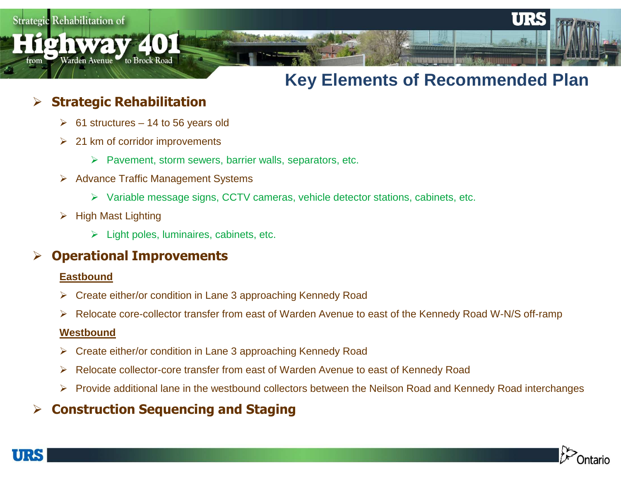$\mathbf{r}$ om

## **Key Elements of Recommended Plan**

### $\blacktriangleright$ Strategic Rehabilitation

**12 NWAV 401** 

Warden Avenue to Brock Road

- $\triangleright$  61 structures 14 to 56 years old
- **►** 21 km of corridor improvements
	- $\triangleright$  Pavement, storm sewers, barrier walls, separators, etc.
- **▶ Advance Traffic Management Systems** 
	- Variable message signs, CCTV cameras, vehicle detector stations, cabinets, etc.
- **≻** High Mast Lighting
	- Light poles, luminaires, cabinets, etc.

#### $\blacktriangleright$ Operational Improvements

### **Eastbound**

- Create either/or condition in Lane 3 approaching Kennedy Road
- ➤ Relocate core-collector transfer from east of Warden Avenue to east of the Kennedy Road W-N/S off-ramp

### **Westbound**

- ➤ Create either/or condition in Lane 3 approaching Kennedy Road
- ➤ Relocate collector-core transfer from east of Warden Avenue to east of Kennedy Road
- $\blacktriangleright$ Provide additional lane in the westbound collectors between the Neilson Road and Kennedy Road interchanges

### $\blacktriangleright$ Construction Sequencing and Staging

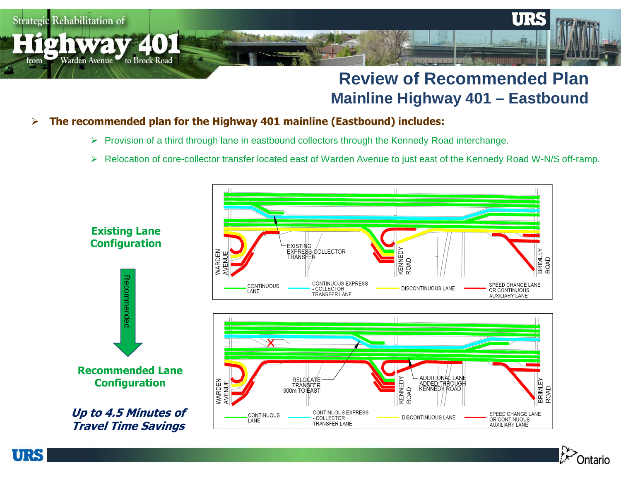

### **Review of Recommended PlanMainline Highway 401 – Eastbound**

#### $\blacktriangleright$ The recommended plan for the Highway 401 mainline (Eastbound) includes:

URS

- ▶ Provision of a third through lane in eastbound collectors through the Kennedy Road interchange.
- $\blacktriangleright$ Relocation of core-collector transfer located east of Warden Avenue to just east of the Kennedy Road W-N/S off-ramp.



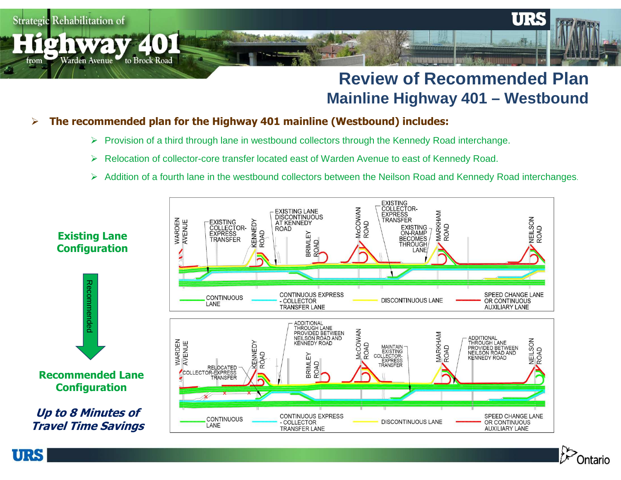## **Review of Recommended PlanMainline Highway 401 – Westbound**

#### $\blacktriangleright$ The recommended plan for the Highway 401 mainline (Westbound) includes:

URS

- ▶ Provision of a third through lane in westbound collectors through the Kennedy Road interchange.
- ➤ Relocation of collector-core transfer located east of Warden Avenue to east of Kennedy Road.
- Addition of a fourth lane in the westbound collectors between the Neilson Road and Kennedy Road interchanges.



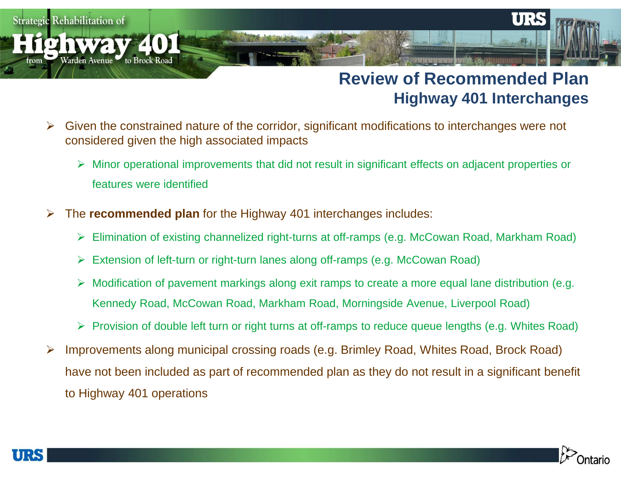### **Review of Recommended PlanHighway 401 Interchanges**

- $\blacktriangleright$  Given the constrained nature of the corridor, significant modifications to interchanges were not considered given the high associated impacts
	- Minor operational improvements that did not result in significant effects on adjacent properties or features were identified
- $\blacktriangleright$  The **recommended plan** for the Highway 401 interchanges includes:
	- Elimination of existing channelized right-turns at off-ramps (e.g. McCowan Road, Markham Road)
	- Extension of left-turn or right-turn lanes along off-ramps (e.g. McCowan Road)
	- Modification of pavement markings along exit ramps to create a more equal lane distribution (e.g. Kennedy Road, McCowan Road, Markham Road, Morningside Avenue, Liverpool Road)
	- Provision of double left turn or right turns at off-ramps to reduce queue lengths (e.g. Whites Road)
- $\blacktriangleright$  Improvements along municipal crossing roads (e.g. Brimley Road, Whites Road, Brock Road) have not been included as part of recommended plan as they do not result in a significant benefit to Highway 401 operations



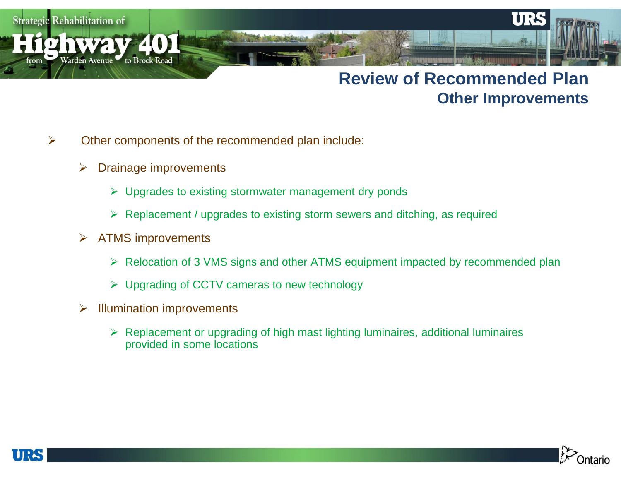rom

**IC NWAV** 

Warden Avenue to Brock Road

## **Review of Recommended PlanOther Improvements**

- $\blacktriangleright$  Other components of the recommended plan include:
	- $\blacktriangleright$ Drainage improvements

401

- Upgrades to existing stormwater management dry ponds
- Replacement / upgrades to existing storm sewers and ditching, as required
- $\blacktriangleright$  ATMS improvements
	- Relocation of 3 VMS signs and other ATMS equipment impacted by recommended plan
	- Upgrading of CCTV cameras to new technology
- $\blacktriangleright$  Illumination improvements
	- ▶ Replacement or upgrading of high mast lighting luminaires, additional luminaires provided in some locations provided in some locations



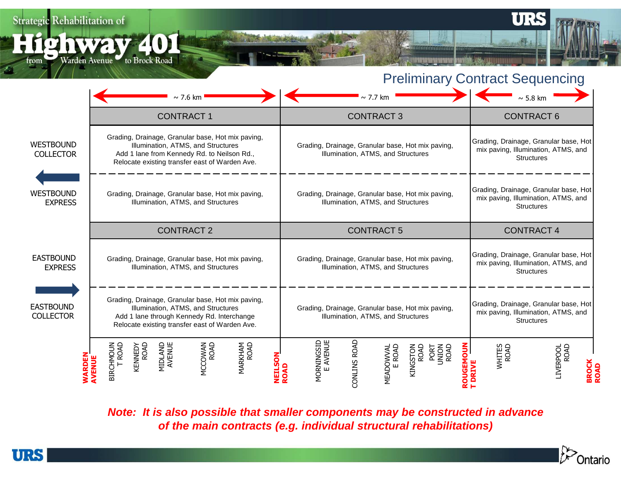**ighway 401** 

from Warden Avenue to Brock Road



UR

|                                      | $\sim$ 7.6 km                                                                                                                                                                            | $\sim$ 7.7 km                                                                                                                        | $\sim$ 5.8 km                                                                                     |
|--------------------------------------|------------------------------------------------------------------------------------------------------------------------------------------------------------------------------------------|--------------------------------------------------------------------------------------------------------------------------------------|---------------------------------------------------------------------------------------------------|
|                                      | <b>CONTRACT1</b>                                                                                                                                                                         | <b>CONTRACT 3</b>                                                                                                                    | <b>CONTRACT 6</b>                                                                                 |
| <b>WESTBOUND</b><br><b>COLLECTOR</b> | Grading, Drainage, Granular base, Hot mix paving,<br>Illumination, ATMS, and Structures<br>Add 1 lane from Kennedy Rd. to Neilson Rd.,<br>Relocate existing transfer east of Warden Ave. | Grading, Drainage, Granular base, Hot mix paving,<br>Illumination, ATMS, and Structures                                              | Grading, Drainage, Granular base, Hot<br>mix paving, Illumination, ATMS, and<br><b>Structures</b> |
| <b>WESTBOUND</b><br><b>EXPRESS</b>   | Grading, Drainage, Granular base, Hot mix paving,<br>Illumination, ATMS, and Structures                                                                                                  | Grading, Drainage, Granular base, Hot mix paving,<br>Illumination, ATMS, and Structures                                              | Grading, Drainage, Granular base, Hot<br>mix paving, Illumination, ATMS, and<br><b>Structures</b> |
|                                      | <b>CONTRACT 2</b>                                                                                                                                                                        | <b>CONTRACT 5</b>                                                                                                                    | <b>CONTRACT 4</b>                                                                                 |
| <b>EASTBOUND</b><br><b>EXPRESS</b>   | Grading, Drainage, Granular base, Hot mix paving,<br>Illumination, ATMS, and Structures                                                                                                  | Grading, Drainage, Granular base, Hot mix paving,<br>Illumination, ATMS, and Structures                                              | Grading, Drainage, Granular base, Hot<br>mix paving, Illumination, ATMS, and<br><b>Structures</b> |
| <b>EASTBOUND</b><br><b>COLLECTOR</b> | Grading, Drainage, Granular base, Hot mix paving,<br>Illumination, ATMS, and Structures<br>Add 1 lane through Kennedy Rd. Interchange<br>Relocate existing transfer east of Warden Ave.  | Grading, Drainage, Granular base, Hot mix paving,<br>Illumination, ATMS, and Structures                                              | Grading, Drainage, Granular base, Hot<br>mix paving, Illumination, ATMS, and<br><b>Structures</b> |
|                                      | MIDLAND<br>AVENUE<br><b>MARKHAM<br/>ROAD</b><br>MCCOWAN<br>ROAD<br>KENNEDY<br>ROAD<br><b>BIRCHMOUT</b><br>ROAL<br>)<br>M<br>⊞                                                            | MORNINGSID<br>E AVENUE<br>CONLINS ROAD<br><u> 중</u><br><b>MEADOWVAL</b><br>E ROAD<br>KINGSTON<br>ROAD<br><b>PORT</b><br>NICM<br>ROAD | WHITES<br>ROAD<br>LIVERPOOL<br>ROAD                                                               |

**Note: It is also possible that smaller components may be constructed in advance of the main contracts (e.g. individual structural rehabilitations)**